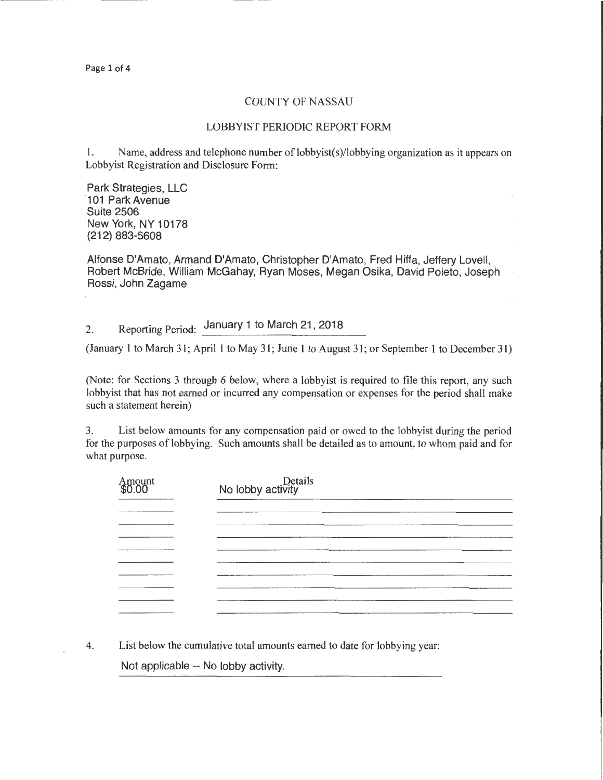Page 1 of 4

## COUNTY OF NASSAU

## LOBBYIST PERIODIC REPORT FORM

l. Name, address and telephone number of lobbyist(s)/lobbying organization as it appears on Lobbyist Registration and Disclosure Form:

Park Strategies, LLC 101 Park Avenue Suite 2506 New York, NY 10178 (212) 883-5608

Alfonse D'Amato, Armand D'Amato, Christopher D'Amato, Fred Hiffa, Jeffery Lovell, Robert McBride, William McGahay, Ryan Moses, Megan Osika, David Poleto, Joseph Rossi, John Zagame

2. Reporting Period: January 1 to March 21, 2018

(January 1 to March 31; April1 to May 31; June 1 to August 31; or September 1 to December 31)

(Note: for Sections 3 through 6 below, where a lobbyist is required to file this report, any such lobbyist that has not earned or incurred any compensation or expenses for the period shall make such a statement herein)

3. List below amounts for any compensation paid or owed to the lobbyist during the period for the purposes of lobbying. Such amounts shall be detailed as to amount, to whom paid and for what purpose.

| Amount<br>\$0.00 | Details<br>No lobby activity |
|------------------|------------------------------|
|                  |                              |
|                  |                              |
|                  |                              |
|                  |                              |
|                  |                              |
|                  |                              |
|                  |                              |
|                  |                              |
| ---------        |                              |

4. List below the cumulative total amounts earned to date for lobbying year: Not applicable-- No lobby activity.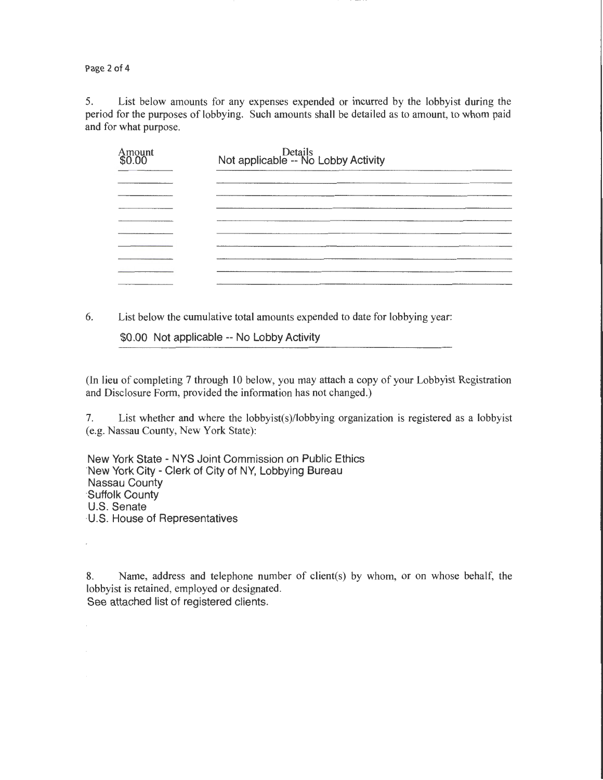Page 2 of 4

5. List below amounts for any expenses expended or incurred by the lobbyist during the period for the purposes of lobbying. Such amounts shall be detailed as to amount, to whom paid and for what purpose.

| Amount<br>\$0.00 | Details<br>Not applicable -- No Lobby Activity |
|------------------|------------------------------------------------|
|                  |                                                |
|                  |                                                |
|                  |                                                |
|                  |                                                |
|                  |                                                |
|                  |                                                |
|                  |                                                |
|                  |                                                |

6. List below the cumulative total amounts expended to date for lobbying year:

\$0.00 Not applicable-- No Lobby Activity

(In lieu of completing 7 through 10 below, you may attach a copy of your Lobbyist Registration and Disclosure Form, provided the information has not changed.)

7. List whether and where the lobbyist(s)/lobbying organization is registered as a lobbyist (e.g. Nassau County, New York State):

New York State -NYS Joint Commission on Public Ethics ·New York City - Clerk of City of NY, Lobbying Bureau Nassau County ·Suffolk County U.S. Senate ·U.S. House of Representatives

8. Name, address and telephone number of client(s) by whom, or on whose behalf, the lobbyist is retained, employed or designated. See attached list of registered clients.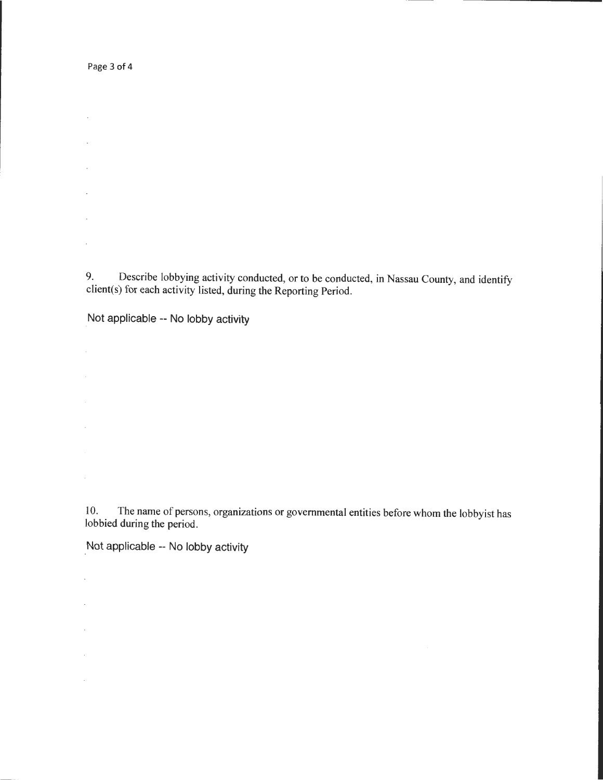Page 3 of 4

 $\sim$ 

 $\sim$ 

 $\mathcal{L}$ 

 $\bar{z}$ 

 $\mathcal{L}$ 

 $\mathcal{L}^{\pm}$ 

 $\mathcal{A}^{\mathcal{A}}$ 

 $\ddot{\phantom{a}}$ 

 $\mathcal{L}^{\pm}$ 

 $\Box$ 

 $\mathcal{A}^{\mathcal{A}}$ 

 $\mathcal{L}$ 

9. Describe lobbying activity conducted, or to be conducted, in Nassau County, and identify client(s) for each activity listed, during the Reporting Period.

Not applicable -- No lobby activity

10. The name of persons, organizations or governmental entities before whom the lobbyist has lobbied during the period.

Not applicable -- No lobby activity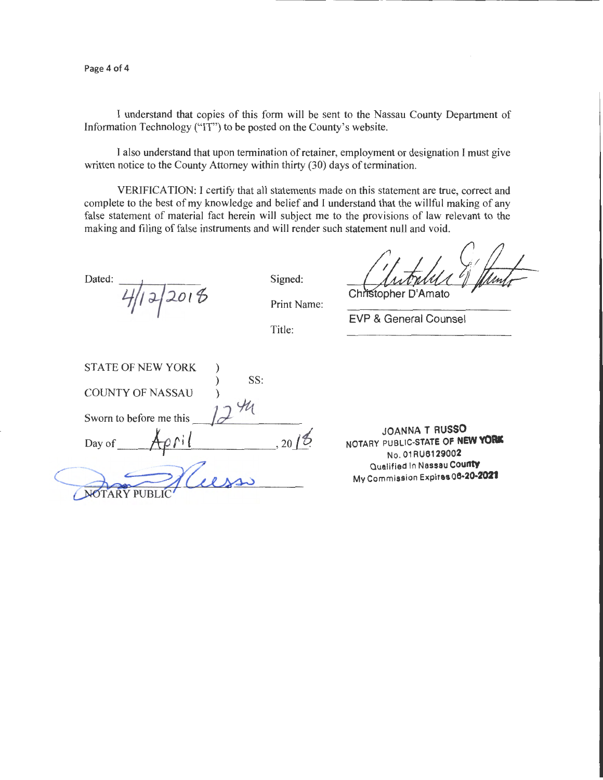I understand that copies of this form will be sent to the Nassau County Department of Information Technology ("IT") to be posted on the County's website.

I also understand that upon termination of retainer, employment or designation I must give written notice to the County Attorney within thirty (30) days of termination.

VERIFICATION: I certify that all statements made on this statement are true, correct and complete to the best of my knowledge and belief and I understand that the willful making of any false statement of material fact herein will subject me to the provisions of law relevant to the making and filing of false instruments and will render such statement null and void.

Dated:  $4/12/2016$ 

Signed:

Christopher D'Amato

Print Name:

Title:

EVP & General Counsel

| <b>STATE OF NEW YORK</b> |  |
|--------------------------|--|
| SS:                      |  |
| <b>COUNTY OF NASSAU</b>  |  |
|                          |  |
| Sworn to before me this  |  |
|                          |  |
| Day of                   |  |
|                          |  |
|                          |  |
| د                        |  |
|                          |  |

JOANNA **T RUSSO**  NOTARY PUBLIC-STATE OF NEW YORK No. 01 RU6129002 Qualified In Nassau **County**  My Commission Expires **06·20.2021**